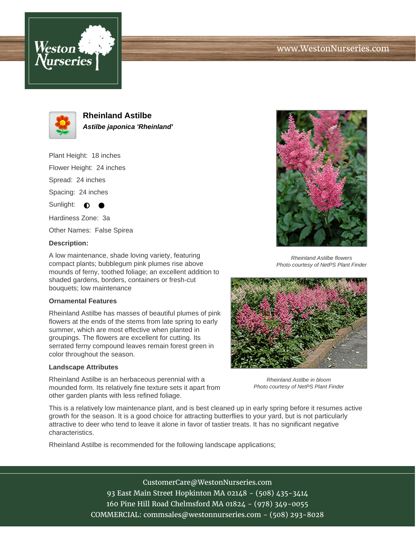



**Rheinland Astilbe Astilbe japonica 'Rheinland'**

Plant Height: 18 inches

Flower Height: 24 inches

Spread: 24 inches

Spacing: 24 inches

Sunlight:  $\bigcirc$ 

Hardiness Zone: 3a

Other Names: False Spirea

## **Description:**

A low maintenance, shade loving variety, featuring compact plants; bubblegum pink plumes rise above mounds of ferny, toothed foliage; an excellent addition to shaded gardens, borders, containers or fresh-cut bouquets; low maintenance

## **Ornamental Features**

Rheinland Astilbe has masses of beautiful plumes of pink flowers at the ends of the stems from late spring to early summer, which are most effective when planted in groupings. The flowers are excellent for cutting. Its serrated ferny compound leaves remain forest green in color throughout the season.

## **Landscape Attributes**

Rheinland Astilbe is an herbaceous perennial with a mounded form. Its relatively fine texture sets it apart from other garden plants with less refined foliage.



Rheinland Astilbe flowers Photo courtesy of NetPS Plant Finder



Rheinland Astilbe in bloom Photo courtesy of NetPS Plant Finder

This is a relatively low maintenance plant, and is best cleaned up in early spring before it resumes active growth for the season. It is a good choice for attracting butterflies to your yard, but is not particularly attractive to deer who tend to leave it alone in favor of tastier treats. It has no significant negative characteristics.

Rheinland Astilbe is recommended for the following landscape applications;

CustomerCare@WestonNurseries.com 93 East Main Street Hopkinton MA 02148 - (508) 435-3414 160 Pine Hill Road Chelmsford MA 01824 - (978) 349-0055 COMMERCIAL: commsales@westonnurseries.com - (508) 293-8028